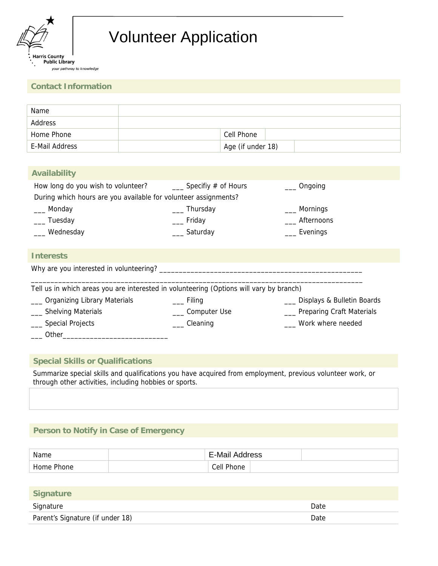

# Volunteer Application

#### **Contact Information**

| Name           |                   |
|----------------|-------------------|
| Address        |                   |
| Home Phone     | Cell Phone        |
| E-Mail Address | Age (if under 18) |

| <b>Availability</b>                                                                     |                                   |                                  |
|-----------------------------------------------------------------------------------------|-----------------------------------|----------------------------------|
| How long do you wish to volunteer?                                                      | $\frac{1}{2}$ Specifiy # of Hours | Ongoing                          |
| During which hours are you available for volunteer assignments?                         |                                   |                                  |
| __ Monday                                                                               | ____ Thursday                     | Mornings                         |
| ___ Tuesday                                                                             | __ Friday                         | Afternoons                       |
| __ Wednesday                                                                            | __ Saturday                       | Evenings                         |
|                                                                                         |                                   |                                  |
| <b>Interests</b>                                                                        |                                   |                                  |
| Why are you interested in volunteering? ________                                        |                                   |                                  |
| Tell us in which areas you are interested in volunteering (Options will vary by branch) |                                   |                                  |
| _ Organizing Library Materials                                                          | __ Filing                         | Displays & Bulletin Boards       |
| <b>Shelving Materials</b>                                                               | __ Computer Use                   | <b>Preparing Craft Materials</b> |
| Special Projects                                                                        | $\angle$ Cleaning                 | Work where needed                |
| Other_                                                                                  |                                   |                                  |

## **Special Skills or Qualifications**

Summarize special skills and qualifications you have acquired from employment, previous volunteer work, or through other activities, including hobbies or sports.

## **Person to Notify in Case of Emergency**

| Name       | E-Mail Address |
|------------|----------------|
| Home Phone | Cell Phone     |

| <b>Signature</b>                 |      |
|----------------------------------|------|
| Signature                        | Date |
| Parent's Signature (if under 18) | Date |